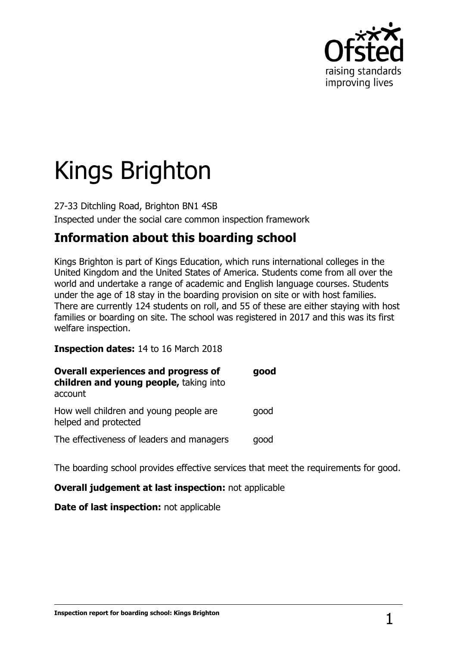

# Kings Brighton

27-33 Ditchling Road, Brighton BN1 4SB Inspected under the social care common inspection framework

## **Information about this boarding school**

Kings Brighton is part of Kings Education, which runs international colleges in the United Kingdom and the United States of America. Students come from all over the world and undertake a range of academic and English language courses. Students under the age of 18 stay in the boarding provision on site or with host families. There are currently 124 students on roll, and 55 of these are either staying with host families or boarding on site. The school was registered in 2017 and this was its first welfare inspection.

**Inspection dates:** 14 to 16 March 2018

| <b>Overall experiences and progress of</b><br>children and young people, taking into<br>account | good |
|-------------------------------------------------------------------------------------------------|------|
| How well children and young people are<br>helped and protected                                  | qood |
| The effectiveness of leaders and managers                                                       | good |

The boarding school provides effective services that meet the requirements for good.

#### **Overall judgement at last inspection:** not applicable

**Date of last inspection:** not applicable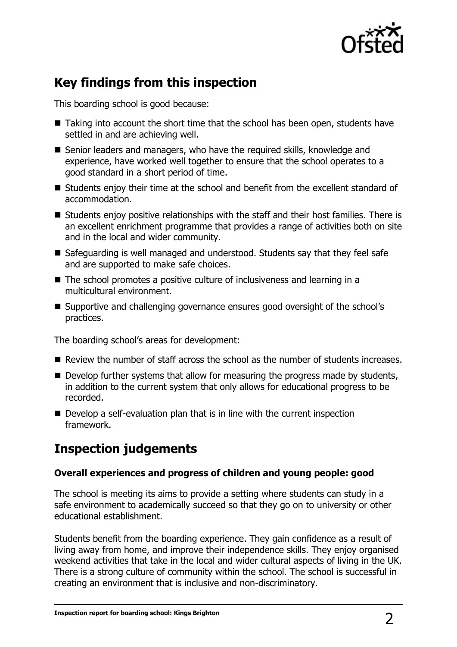

## **Key findings from this inspection**

This boarding school is good because:

- Taking into account the short time that the school has been open, students have settled in and are achieving well.
- Senior leaders and managers, who have the required skills, knowledge and experience, have worked well together to ensure that the school operates to a good standard in a short period of time.
- Students enjoy their time at the school and benefit from the excellent standard of accommodation.
- Students enjoy positive relationships with the staff and their host families. There is an excellent enrichment programme that provides a range of activities both on site and in the local and wider community.
- Safeguarding is well managed and understood. Students say that they feel safe and are supported to make safe choices.
- The school promotes a positive culture of inclusiveness and learning in a multicultural environment.
- Supportive and challenging governance ensures good oversight of the school's practices.

The boarding school's areas for development:

- **Review the number of staff across the school as the number of students increases.**
- $\blacksquare$  Develop further systems that allow for measuring the progress made by students, in addition to the current system that only allows for educational progress to be recorded.
- Develop a self-evaluation plan that is in line with the current inspection framework.

## **Inspection judgements**

#### **Overall experiences and progress of children and young people: good**

The school is meeting its aims to provide a setting where students can study in a safe environment to academically succeed so that they go on to university or other educational establishment.

Students benefit from the boarding experience. They gain confidence as a result of living away from home, and improve their independence skills. They enjoy organised weekend activities that take in the local and wider cultural aspects of living in the UK. There is a strong culture of community within the school. The school is successful in creating an environment that is inclusive and non-discriminatory.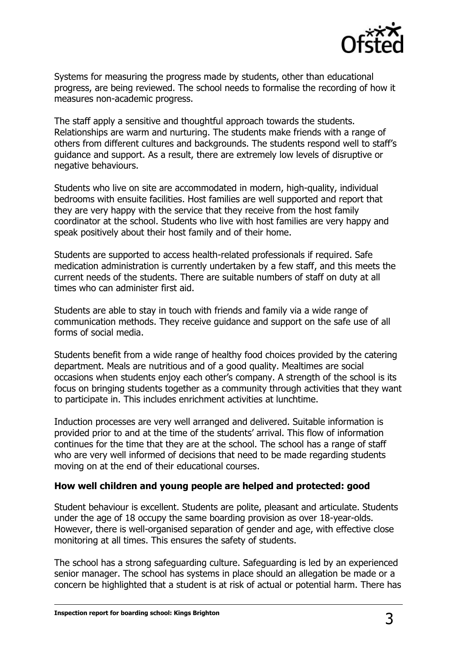

Systems for measuring the progress made by students, other than educational progress, are being reviewed. The school needs to formalise the recording of how it measures non-academic progress.

The staff apply a sensitive and thoughtful approach towards the students. Relationships are warm and nurturing. The students make friends with a range of others from different cultures and backgrounds. The students respond well to staff's guidance and support. As a result, there are extremely low levels of disruptive or negative behaviours.

Students who live on site are accommodated in modern, high-quality, individual bedrooms with ensuite facilities. Host families are well supported and report that they are very happy with the service that they receive from the host family coordinator at the school. Students who live with host families are very happy and speak positively about their host family and of their home.

Students are supported to access health-related professionals if required. Safe medication administration is currently undertaken by a few staff, and this meets the current needs of the students. There are suitable numbers of staff on duty at all times who can administer first aid.

Students are able to stay in touch with friends and family via a wide range of communication methods. They receive guidance and support on the safe use of all forms of social media.

Students benefit from a wide range of healthy food choices provided by the catering department. Meals are nutritious and of a good quality. Mealtimes are social occasions when students enjoy each other's company. A strength of the school is its focus on bringing students together as a community through activities that they want to participate in. This includes enrichment activities at lunchtime.

Induction processes are very well arranged and delivered. Suitable information is provided prior to and at the time of the students' arrival. This flow of information continues for the time that they are at the school. The school has a range of staff who are very well informed of decisions that need to be made regarding students moving on at the end of their educational courses.

#### **How well children and young people are helped and protected: good**

Student behaviour is excellent. Students are polite, pleasant and articulate. Students under the age of 18 occupy the same boarding provision as over 18-year-olds. However, there is well-organised separation of gender and age, with effective close monitoring at all times. This ensures the safety of students.

The school has a strong safeguarding culture. Safeguarding is led by an experienced senior manager. The school has systems in place should an allegation be made or a concern be highlighted that a student is at risk of actual or potential harm. There has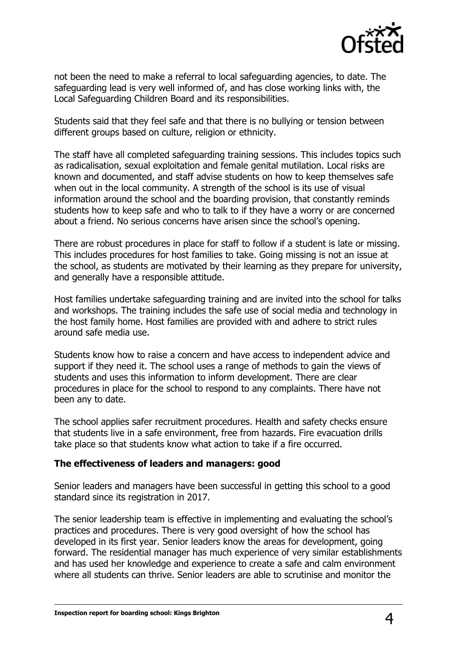

not been the need to make a referral to local safeguarding agencies, to date. The safeguarding lead is very well informed of, and has close working links with, the Local Safeguarding Children Board and its responsibilities.

Students said that they feel safe and that there is no bullying or tension between different groups based on culture, religion or ethnicity.

The staff have all completed safeguarding training sessions. This includes topics such as radicalisation, sexual exploitation and female genital mutilation. Local risks are known and documented, and staff advise students on how to keep themselves safe when out in the local community. A strength of the school is its use of visual information around the school and the boarding provision, that constantly reminds students how to keep safe and who to talk to if they have a worry or are concerned about a friend. No serious concerns have arisen since the school's opening.

There are robust procedures in place for staff to follow if a student is late or missing. This includes procedures for host families to take. Going missing is not an issue at the school, as students are motivated by their learning as they prepare for university, and generally have a responsible attitude.

Host families undertake safeguarding training and are invited into the school for talks and workshops. The training includes the safe use of social media and technology in the host family home. Host families are provided with and adhere to strict rules around safe media use.

Students know how to raise a concern and have access to independent advice and support if they need it. The school uses a range of methods to gain the views of students and uses this information to inform development. There are clear procedures in place for the school to respond to any complaints. There have not been any to date.

The school applies safer recruitment procedures. Health and safety checks ensure that students live in a safe environment, free from hazards. Fire evacuation drills take place so that students know what action to take if a fire occurred.

#### **The effectiveness of leaders and managers: good**

Senior leaders and managers have been successful in getting this school to a good standard since its registration in 2017.

The senior leadership team is effective in implementing and evaluating the school's practices and procedures. There is very good oversight of how the school has developed in its first year. Senior leaders know the areas for development, going forward. The residential manager has much experience of very similar establishments and has used her knowledge and experience to create a safe and calm environment where all students can thrive. Senior leaders are able to scrutinise and monitor the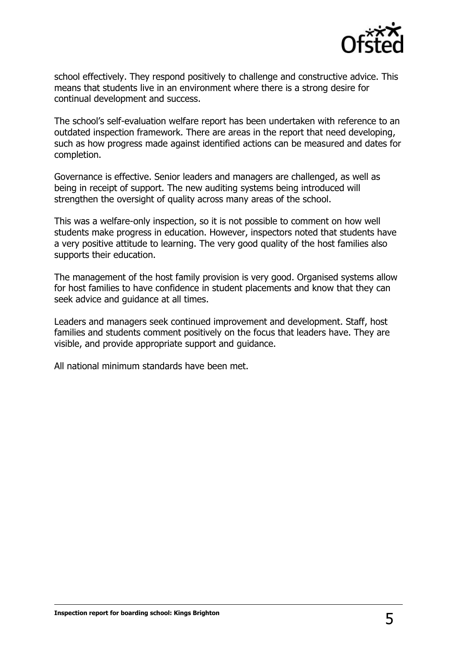

school effectively. They respond positively to challenge and constructive advice. This means that students live in an environment where there is a strong desire for continual development and success.

The school's self-evaluation welfare report has been undertaken with reference to an outdated inspection framework. There are areas in the report that need developing, such as how progress made against identified actions can be measured and dates for completion.

Governance is effective. Senior leaders and managers are challenged, as well as being in receipt of support. The new auditing systems being introduced will strengthen the oversight of quality across many areas of the school.

This was a welfare-only inspection, so it is not possible to comment on how well students make progress in education. However, inspectors noted that students have a very positive attitude to learning. The very good quality of the host families also supports their education.

The management of the host family provision is very good. Organised systems allow for host families to have confidence in student placements and know that they can seek advice and guidance at all times.

Leaders and managers seek continued improvement and development. Staff, host families and students comment positively on the focus that leaders have. They are visible, and provide appropriate support and guidance.

All national minimum standards have been met.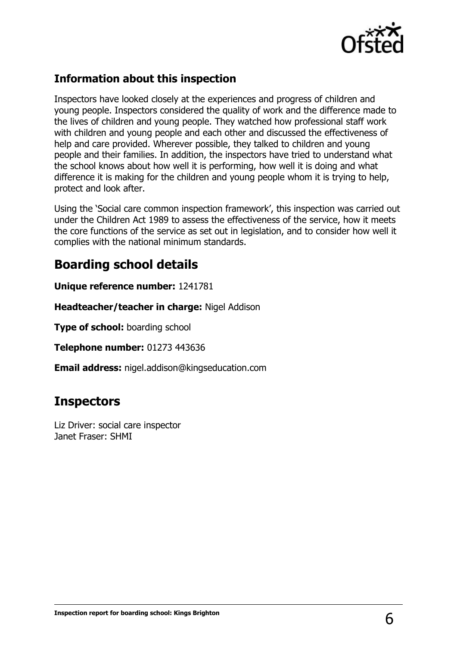

### **Information about this inspection**

Inspectors have looked closely at the experiences and progress of children and young people. Inspectors considered the quality of work and the difference made to the lives of children and young people. They watched how professional staff work with children and young people and each other and discussed the effectiveness of help and care provided. Wherever possible, they talked to children and young people and their families. In addition, the inspectors have tried to understand what the school knows about how well it is performing, how well it is doing and what difference it is making for the children and young people whom it is trying to help, protect and look after.

Using the 'Social care common inspection framework', this inspection was carried out under the Children Act 1989 to assess the effectiveness of the service, how it meets the core functions of the service as set out in legislation, and to consider how well it complies with the national minimum standards.

## **Boarding school details**

**Unique reference number:** 1241781

**Headteacher/teacher in charge:** Nigel Addison

**Type of school:** boarding school

**Telephone number:** 01273 443636

**Email address:** nigel.addison@kingseducation.com

## **Inspectors**

Liz Driver: social care inspector Janet Fraser: SHMI